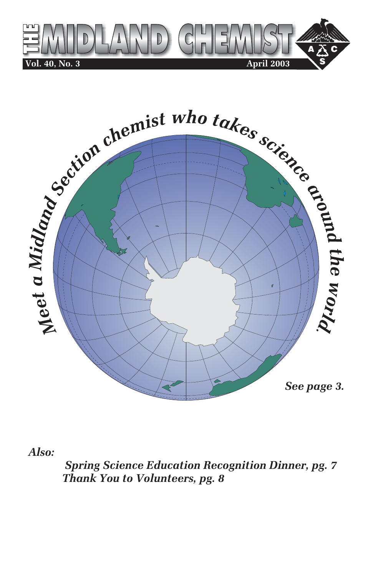



*Also:*

 *Spring Science Education Recognition Dinner, pg. 7 Thank You to Volunteers, pg. 8*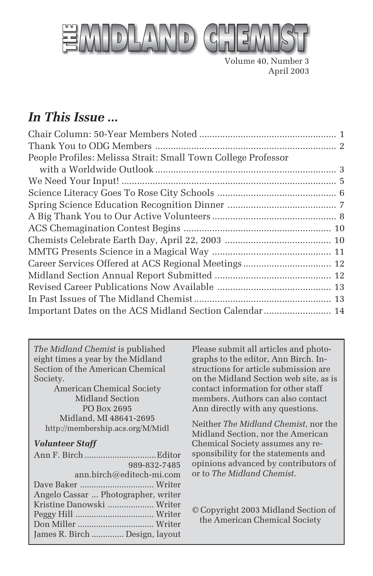

Volume 40, Number 3 April 2003

### *In This Issue ...*

| People Profiles: Melissa Strait: Small Town College Professor |  |
|---------------------------------------------------------------|--|
|                                                               |  |
|                                                               |  |
|                                                               |  |
|                                                               |  |
|                                                               |  |
|                                                               |  |
|                                                               |  |
|                                                               |  |
|                                                               |  |
|                                                               |  |
|                                                               |  |
|                                                               |  |
| Important Dates on the ACS Midland Section Calendar  14       |  |
|                                                               |  |

*The Midland Chemist* is published eight times a year by the Midland Section of the American Chemical Society.

American Chemical Society Midland Section PO Box 2695 Midland, MI 48641-2695 http://membership.acs.org/M/Midl

#### *Volunteer Staff*

|                                     | 989-832-7485 |
|-------------------------------------|--------------|
| ann.birch@editech-mi.com            |              |
|                                     |              |
| Angelo Cassar  Photographer, writer |              |
| Kristine Danowski  Writer           |              |
|                                     |              |
|                                     |              |
| James R. Birch  Design, layout      |              |

Please submit all articles and photographs to the editor, Ann Birch. Instructions for article submission are on the Midland Section web site, as is contact information for other staff members. Authors can also contact Ann directly with any questions.

Neither *The Midland Chemist*, nor the Midland Section, nor the American Chemical Society assumes any responsibility for the statements and opinions advanced by contributors of or to *The Midland Chemist*.

© Copyright 2003 Midland Section of the American Chemical Society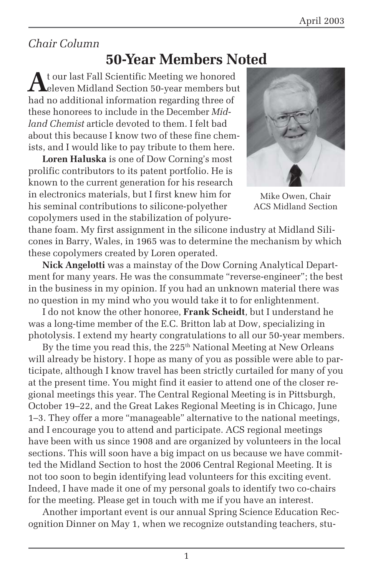### *Chair Column*

### **50-Year Members Noted**

At our last Fall Scientific Meeting we honored<br>eleven Midland Section 50-year members but had no additional information regarding three of these honorees to include in the December *Midland Chemist* article devoted to them. I felt bad about this because I know two of these fine chemists, and I would like to pay tribute to them here.

**Loren Haluska** is one of Dow Corning's most prolific contributors to its patent portfolio. He is known to the current generation for his research in electronics materials, but I first knew him for his seminal contributions to silicone-polyether copolymers used in the stabilization of polyure-



Mike Owen, Chair ACS Midland Section

thane foam. My first assignment in the silicone industry at Midland Silicones in Barry, Wales, in 1965 was to determine the mechanism by which these copolymers created by Loren operated.

**Nick Angelotti** was a mainstay of the Dow Corning Analytical Department for many years. He was the consummate "reverse-engineer"; the best in the business in my opinion. If you had an unknown material there was no question in my mind who you would take it to for enlightenment.

I do not know the other honoree, **Frank Scheidt**, but I understand he was a long-time member of the E.C. Britton lab at Dow, specializing in photolysis. I extend my hearty congratulations to all our 50-year members.

By the time you read this, the  $225<sup>th</sup>$  National Meeting at New Orleans will already be history. I hope as many of you as possible were able to participate, although I know travel has been strictly curtailed for many of you at the present time. You might find it easier to attend one of the closer regional meetings this year. The Central Regional Meeting is in Pittsburgh, October 19–22, and the Great Lakes Regional Meeting is in Chicago, June 1–3. They offer a more "manageable" alternative to the national meetings, and I encourage you to attend and participate. ACS regional meetings have been with us since 1908 and are organized by volunteers in the local sections. This will soon have a big impact on us because we have committed the Midland Section to host the 2006 Central Regional Meeting. It is not too soon to begin identifying lead volunteers for this exciting event. Indeed, I have made it one of my personal goals to identify two co-chairs for the meeting. Please get in touch with me if you have an interest.

Another important event is our annual Spring Science Education Recognition Dinner on May 1, when we recognize outstanding teachers, stu-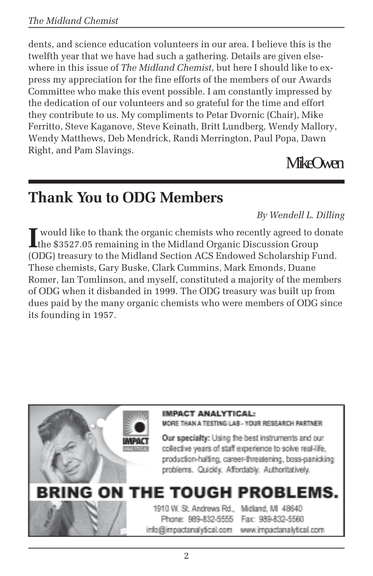### *The Midland Chemist*

dents, and science education volunteers in our area. I believe this is the twelfth year that we have had such a gathering. Details are given elsewhere in this issue of *The Midland Chemist*, but here I should like to express my appreciation for the fine efforts of the members of our Awards Committee who make this event possible. I am constantly impressed by the dedication of our volunteers and so grateful for the time and effort they contribute to us. My compliments to Petar Dvornic (Chair), Mike Ferritto, Steve Kaganove, Steve Keinath, Britt Lundberg, Wendy Mallory, Wendy Matthews, Deb Mendrick, Randi Merrington, Paul Popa, Dawn Right, and Pam Slavings.

Mike Owen

### **Thank You to ODG Members**

*By Wendell L. Dilling*

Integral would like to thank the organic chemists who recently agreed to donate<br>the \$3527.05 remaining in the Midland Organic Discussion Group the \$3527.05 remaining in the Midland Organic Discussion Group (ODG) treasury to the Midland Section ACS Endowed Scholarship Fund. These chemists, Gary Buske, Clark Cummins, Mark Emonds, Duane Romer, Ian Tomlinson, and myself, constituted a majority of the members of ODG when it disbanded in 1999. The ODG treasury was built up from dues paid by the many organic chemists who were members of ODG since its founding in 1957.

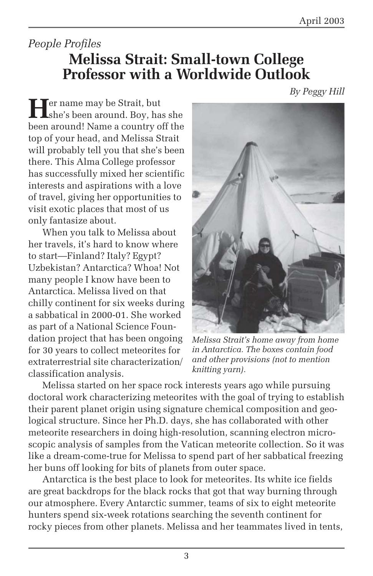### *People Profiles* **Melissa Strait: Small-town College Professor with a Worldwide Outlook**

*By Peggy Hill*

**Her** name may be Strait, but she's been around. Boy, has she been around! Name a country off the top of your head, and Melissa Strait will probably tell you that she's been there. This Alma College professor has successfully mixed her scientific interests and aspirations with a love of travel, giving her opportunities to visit exotic places that most of us only fantasize about.

When you talk to Melissa about her travels, it's hard to know where to start—Finland? Italy? Egypt? Uzbekistan? Antarctica? Whoa! Not many people I know have been to Antarctica. Melissa lived on that chilly continent for six weeks during a sabbatical in 2000-01. She worked as part of a National Science Foundation project that has been ongoing for 30 years to collect meteorites for extraterrestrial site characterization/ classification analysis.



*Melissa Strait's home away from home in Antarctica. The boxes contain food and other provisions (not to mention knitting yarn).*

Melissa started on her space rock interests years ago while pursuing doctoral work characterizing meteorites with the goal of trying to establish their parent planet origin using signature chemical composition and geological structure. Since her Ph.D. days, she has collaborated with other meteorite researchers in doing high-resolution, scanning electron microscopic analysis of samples from the Vatican meteorite collection. So it was like a dream-come-true for Melissa to spend part of her sabbatical freezing her buns off looking for bits of planets from outer space.

Antarctica is the best place to look for meteorites. Its white ice fields are great backdrops for the black rocks that got that way burning through our atmosphere. Every Antarctic summer, teams of six to eight meteorite hunters spend six-week rotations searching the seventh continent for rocky pieces from other planets. Melissa and her teammates lived in tents,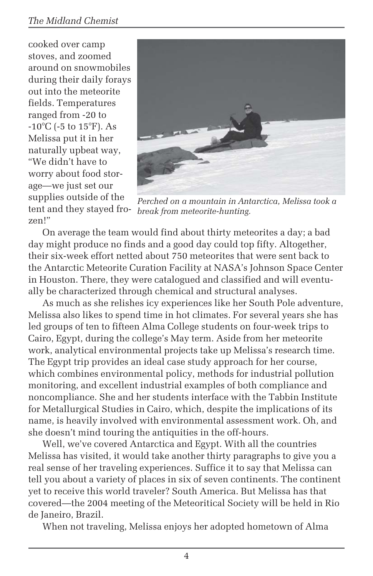#### *The Midland Chemist*

cooked over camp stoves, and zoomed around on snowmobiles during their daily forays out into the meteorite fields. Temperatures ranged from -20 to -10°C (-5 to 15°F). As Melissa put it in her naturally upbeat way, "We didn't have to worry about food storage—we just set our supplies outside of the tent and they stayed frozen!"



*Perched on a mountain in Antarctica, Melissa took a break from meteorite-hunting.*

On average the team would find about thirty meteorites a day; a bad day might produce no finds and a good day could top fifty. Altogether, their six-week effort netted about 750 meteorites that were sent back to the Antarctic Meteorite Curation Facility at NASA's Johnson Space Center in Houston. There, they were catalogued and classified and will eventually be characterized through chemical and structural analyses.

As much as she relishes icy experiences like her South Pole adventure, Melissa also likes to spend time in hot climates. For several years she has led groups of ten to fifteen Alma College students on four-week trips to Cairo, Egypt, during the college's May term. Aside from her meteorite work, analytical environmental projects take up Melissa's research time. The Egypt trip provides an ideal case study approach for her course, which combines environmental policy, methods for industrial pollution monitoring, and excellent industrial examples of both compliance and noncompliance. She and her students interface with the Tabbin Institute for Metallurgical Studies in Cairo, which, despite the implications of its name, is heavily involved with environmental assessment work. Oh, and she doesn't mind touring the antiquities in the off-hours.

Well, we've covered Antarctica and Egypt. With all the countries Melissa has visited, it would take another thirty paragraphs to give you a real sense of her traveling experiences. Suffice it to say that Melissa can tell you about a variety of places in six of seven continents. The continent yet to receive this world traveler? South America. But Melissa has that covered—the 2004 meeting of the Meteoritical Society will be held in Rio de Janeiro, Brazil.

When not traveling, Melissa enjoys her adopted hometown of Alma

4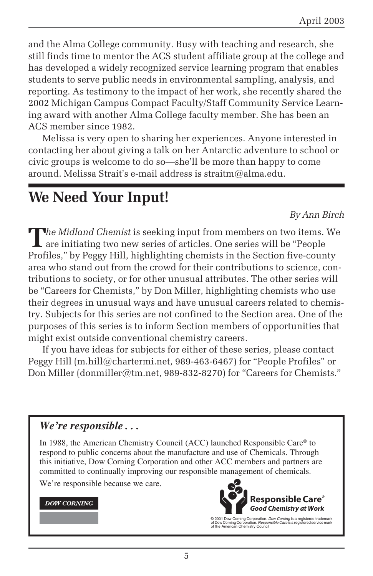and the Alma College community. Busy with teaching and research, she still finds time to mentor the ACS student affiliate group at the college and has developed a widely recognized service learning program that enables students to serve public needs in environmental sampling, analysis, and reporting. As testimony to the impact of her work, she recently shared the 2002 Michigan Campus Compact Faculty/Staff Community Service Learning award with another Alma College faculty member. She has been an ACS member since 1982.

Melissa is very open to sharing her experiences. Anyone interested in contacting her about giving a talk on her Antarctic adventure to school or civic groups is welcome to do so—she'll be more than happy to come around. Melissa Strait's e-mail address is straitm@alma.edu.

## **We Need Your Input!**

*By Ann Birch*

**T***he Midland Chemist* is seeking input from members on two items. We are initiating two new series of articles. One series will be "People Profiles," by Peggy Hill, highlighting chemists in the Section five-county area who stand out from the crowd for their contributions to science, contributions to society, or for other unusual attributes. The other series will be "Careers for Chemists," by Don Miller, highlighting chemists who use their degrees in unusual ways and have unusual careers related to chemistry. Subjects for this series are not confined to the Section area. One of the purposes of this series is to inform Section members of opportunities that might exist outside conventional chemistry careers.

If you have ideas for subjects for either of these series, please contact Peggy Hill (m.hill@chartermi.net, 989-463-6467) for "People Profiles" or Don Miller (donmiller@tm.net, 989-832-8270) for "Careers for Chemists."

#### *We're responsible . . .*

In 1988, the American Chemistry Council (ACC) launched Responsible Care® to respond to public concerns about the manufacture and use of Chemicals. Through this initiative, Dow Corning Corporation and other ACC members and partners are committed to continually improving our responsible management of chemicals.

We're responsible because we care.

#### **DOW CORNING**



© 2001 Dow Corning Corporation. *Dow Corning* is a registered trademark<br>of Dow Corning Corporation. *Responsible Care* is a registered service mark<br>of the American Chemistry Council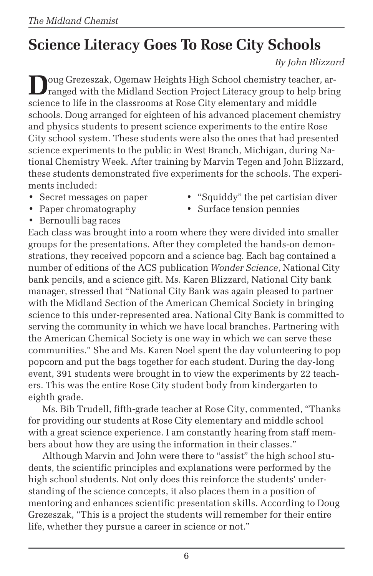# **Science Literacy Goes To Rose City Schools**

### *By John Blizzard*

**D**oug Grezeszak, Ogemaw Heights High School chemistry teacher, arranged with the Midland Section Project Literacy group to help bring science to life in the classrooms at Rose City elementary and middle schools. Doug arranged for eighteen of his advanced placement chemistry and physics students to present science experiments to the entire Rose City school system. These students were also the ones that had presented science experiments to the public in West Branch, Michigan, during National Chemistry Week. After training by Marvin Tegen and John Blizzard, these students demonstrated five experiments for the schools. The experiments included:

- 
- 
- Secret messages on paper "Squiddy" the pet cartisian diver
- *•* Paper chromatography *•* Surface tension pennies
- *•* Bernoulli bag races

Each class was brought into a room where they were divided into smaller groups for the presentations. After they completed the hands-on demonstrations, they received popcorn and a science bag. Each bag contained a number of editions of the ACS publication *Wonder Science*, National City bank pencils, and a science gift. Ms. Karen Blizzard, National City bank manager, stressed that "National City Bank was again pleased to partner with the Midland Section of the American Chemical Society in bringing science to this under-represented area. National City Bank is committed to serving the community in which we have local branches. Partnering with the American Chemical Society is one way in which we can serve these communities." She and Ms. Karen Noel spent the day volunteering to pop popcorn and put the bags together for each student. During the day-long event, 391 students were brought in to view the experiments by 22 teachers. This was the entire Rose City student body from kindergarten to eighth grade.

Ms. Bib Trudell, fifth-grade teacher at Rose City, commented, "Thanks for providing our students at Rose City elementary and middle school with a great science experience. I am constantly hearing from staff members about how they are using the information in their classes."

Although Marvin and John were there to "assist" the high school students, the scientific principles and explanations were performed by the high school students. Not only does this reinforce the students' understanding of the science concepts, it also places them in a position of mentoring and enhances scientific presentation skills. According to Doug Grezeszak, "This is a project the students will remember for their entire life, whether they pursue a career in science or not."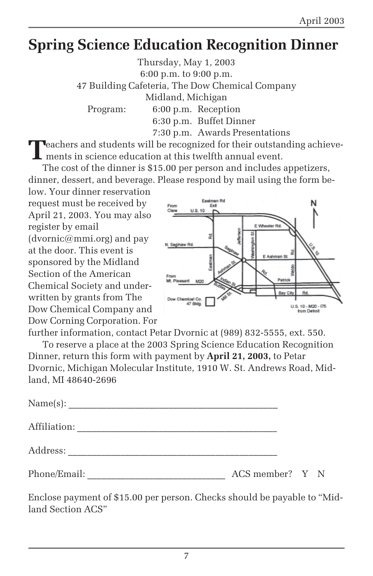## **Spring Science Education Recognition Dinner**

Thursday, May 1, 2003 6:00 p.m. to 9:00 p.m. 47 Building Cafeteria, The Dow Chemical Company Midland, Michigan Program: 6:00 p.m. Reception 6:30 p.m. Buffet Dinner 7:30 p.m. Awards Presentations

**T**eachers and students will be recognized for their outstanding achievements in science education at this twelfth annual event.

The cost of the dinner is \$15.00 per person and includes appetizers, dinner, dessert, and beverage. Please respond by mail using the form be-

low. Your dinner reservation request must be received by April 21, 2003. You may also register by email  $(d$ vornic $@$ mmi.org) and pay at the door. This event is sponsored by the Midland Section of the American Chemical Society and underwritten by grants from The Dow Chemical Company and Dow Corning Corporation. For



further information, contact Petar Dvornic at (989) 832-5555, ext. 550.

To reserve a place at the 2003 Spring Science Education Recognition Dinner, return this form with payment by **April 21, 2003,** to Petar Dvornic, Michigan Molecular Institute, 1910 W. St. Andrews Road, Midland, MI 48640-2696

| Affiliation: |                 |  |  |
|--------------|-----------------|--|--|
|              |                 |  |  |
| Phone/Email: | ACS member? Y N |  |  |

Enclose payment of \$15.00 per person. Checks should be payable to "Midland Section ACS"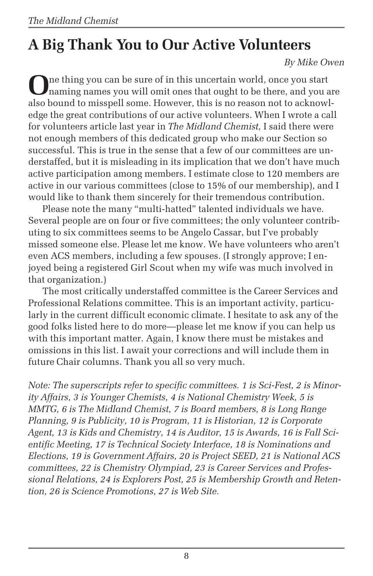# **A Big Thank You to Our Active Volunteers**

*By Mike Owen*

**O**ne thing you can be sure of in this uncertain world, once you start naming names you will omit ones that ought to be there, and you are also bound to misspell some. However, this is no reason not to acknowledge the great contributions of our active volunteers. When I wrote a call for volunteers article last year in *The Midland Chemist,* I said there were not enough members of this dedicated group who make our Section so successful. This is true in the sense that a few of our committees are understaffed, but it is misleading in its implication that we don't have much active participation among members. I estimate close to 120 members are active in our various committees (close to 15% of our membership), and I would like to thank them sincerely for their tremendous contribution.

Please note the many "multi-hatted" talented individuals we have. Several people are on four or five committees; the only volunteer contributing to six committees seems to be Angelo Cassar, but I've probably missed someone else. Please let me know. We have volunteers who aren't even ACS members, including a few spouses. (I strongly approve; I enjoyed being a registered Girl Scout when my wife was much involved in that organization.)

The most critically understaffed committee is the Career Services and Professional Relations committee. This is an important activity, particularly in the current difficult economic climate. I hesitate to ask any of the good folks listed here to do more—please let me know if you can help us with this important matter. Again, I know there must be mistakes and omissions in this list. I await your corrections and will include them in future Chair columns. Thank you all so very much.

*Note: The superscripts refer to specific committees. 1 is Sci-Fest, 2 is Minority Affairs, 3 is Younger Chemists, 4 is National Chemistry Week, 5 is MMTG, 6 is The Midland Chemist, 7 is Board members, 8 is Long Range Planning, 9 is Publicity, 10 is Program, 11 is Historian, 12 is Corporate Agent, 13 is Kids and Chemistry, 14 is Auditor, 15 is Awards, 16 is Fall Scientific Meeting, 17 is Technical Society Interface, 18 is Nominations and Elections, 19 is Government Affairs, 20 is Project SEED, 21 is National ACS committees, 22 is Chemistry Olympiad, 23 is Career Services and Professional Relations, 24 is Explorers Post, 25 is Membership Growth and Retention, 26 is Science Promotions, 27 is Web Site.*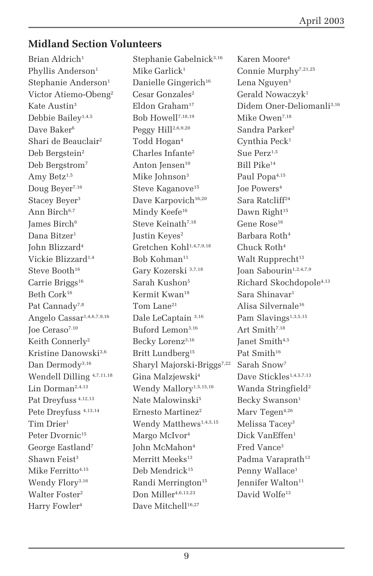### **Midland Section Volunteers**

Harry Fowler<sup>4</sup> Dave Mitchell<sup>16,27</sup>

Brian Aldrich<sup>1</sup> Stephanie Gabelnick<sup>3,16</sup> Karen Moore<sup>4</sup> Phyllis Anderson<sup>1</sup> Mike Garlick<sup>1</sup> Connie Murphy<sup>7,21,25</sup> Stephanie Anderson<sup>1</sup> Danielle Gingerich<sup>16</sup> Lena Nguyen<sup>3</sup> Victor Atiemo-Obeng<sup>2</sup> Cesar Gonzales<sup>2</sup> Gerald Nowaczyk<sup>1</sup> Debbie Bailey<sup>1,4,5</sup> Bob Howell<sup>7,18,19</sup> Mike Owen<sup>7,18</sup> Dave Baker<sup>6</sup> Peggy Hill<sup>2,6,9,20</sup> Sandra Parker<sup>2</sup> Shari de Beauclair<sup>2</sup> Todd Hogan<sup>4</sup> Cynthia Peck<sup>1</sup> Deb Bergstein<sup>2</sup> Charles Infante<sup>2</sup> Sue Perz<sup>1,5</sup> Deb Bergstrom<sup>7</sup> Anton Jensen<sup>10</sup> Bill Pike<sup>14</sup> Amy Betz<sup>1,5</sup> Mike Johnson<sup>3</sup> Paul Popa<sup>4,15</sup> Doug Beyer<sup>7,16</sup> Steve Kaganove<sup>15</sup> Joe Powers<sup>4</sup> Stacey Beyer<sup>3</sup> Dave Karpovich<sup>16,20</sup> Sara Ratcliff<sup>24</sup> Ann Birch<sup>6,7</sup> Mindy Keefe<sup>16</sup> Dawn Right<sup>15</sup> James Birch<sup>6</sup> Steve Keinath<sup>7,18</sup> Gene Rose<sup>16</sup> Dana Bitzer<sup>1</sup> Justin Keyes<sup>2</sup> Barbara Roth<sup>4</sup> John Blizzard4 Gretchen Kohl1,4,7,9,18 Chuck Roth4 Vickie Blizzard<sup>1,4</sup> Bob Kohman<sup>11</sup> Walt Rupprecht<sup>13</sup> Steve Booth<sup>16</sup> Gary Kozerski 3,7,18 Joan Sabourin<sup>1,2,4,7,9</sup> Carrie Briggs<sup>16</sup> Sarah Kushon<sup>5</sup> Richard Skochdopole<sup>4,13</sup> Beth Cork<sup>16</sup> Kermit Kwan<sup>18</sup> Sara Shinavar<sup>1</sup> Pat Cannady<sup>7,8</sup> Tom Lane<sup>21</sup> Alisa Silvernale<sup>16</sup> Angelo Cassar<sup>1,4,6,7,9,16</sup> Dale LeCaptain<sup>3,16</sup> Pam Slavings<sup>1,3,5,15</sup> Joe Ceraso7,10 Buford Lemon3,16 Art Smith7,18 Keith Connerly<sup>2</sup> Becky Lorenz<sup>3,16</sup> Janet Smith<sup>4,5</sup> Kristine Danowski<sup>3,6</sup> Britt Lundberg<sup>15</sup> Pat Smith<sup>16</sup> Dan Dermody<sup>3,16</sup> Sharyl Majorski-Briggs<sup>7,22</sup> Sarah Snow<sup>7</sup> Wendell Dilling  $4,7,11,18$  Gina Malzjewski<sup>4</sup> Dave Stickles<sup>1,4,5,7,13</sup> Lin Dorman<sup>2,4,13</sup> Wendy Mallory<sup>1,5,15,16</sup> Wanda Stringfield<sup>2</sup> Pat Dreyfuss<sup>4,12,13</sup> Nate Malowinski<sup>5</sup> Becky Swanson<sup>1</sup> Pete Dreyfuss  $4,13,14$  Ernesto Martinez<sup>2</sup> Marv Tegen $4,26$ Tim Drier<sup>1</sup> Wendy Matthews<sup>1,4,5,15</sup> Melissa Tacev<sup>3</sup> Peter Dvornic<sup>15</sup> Margo McIvor<sup>4</sup> Dick VanEffen<sup>1</sup> George Eastland<sup>7</sup> John McMahon<sup>4</sup> Fred Vance<sup>3</sup> Shawn Feist<sup>3</sup> Merritt Meeks<sup>13</sup> Padma Varaprath<sup>13</sup> Mike Ferritto<sup>4,15</sup> Deb Mendrick<sup>15</sup> Penny Wallace<sup>1</sup> Wendy Flory<sup>3,16</sup> Randi Merrington<sup>15</sup> Jennifer Walton<sup>11</sup> Walter Foster<sup>2</sup> Don Miller<sup>4,6,13,23</sup> David Wolfe<sup>13</sup>

Kate Austin<sup>3</sup> Fldon Graham<sup>17</sup> Didem Oner-Deliomanli<sup>3,16</sup>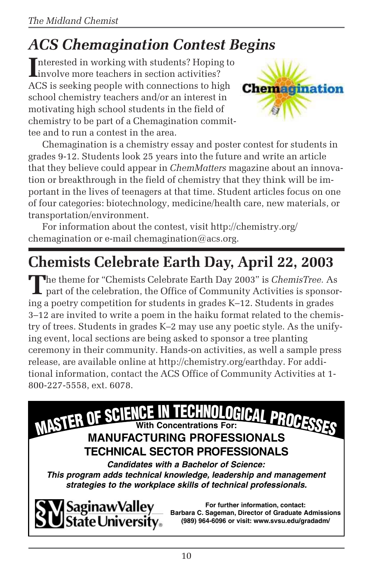# *ACS Chemagination Contest Begins*

Interested in working with students? Hoping<br>involve more teachers in section activities? Interested in working with students? Hoping to ACS is seeking people with connections to high school chemistry teachers and/or an interest in motivating high school students in the field of chemistry to be part of a Chemagination committee and to run a contest in the area.



Chemagination is a chemistry essay and poster contest for students in grades 9-12. Students look 25 years into the future and write an article that they believe could appear in *ChemMatters* magazine about an innovation or breakthrough in the field of chemistry that they think will be important in the lives of teenagers at that time. Student articles focus on one of four categories: biotechnology, medicine/health care, new materials, or transportation/environment.

For information about the contest, visit http://chemistry.org/ chemagination or e-mail chemagination@acs.org.

# **Chemists Celebrate Earth Day, April 22, 2003**

**T**he theme for "Chemists Celebrate Earth Day 2003" is *ChemisTree.* As part of the celebration, the Office of Community Activities is sponsoring a poetry competition for students in grades K–12. Students in grades 3–12 are invited to write a poem in the haiku format related to the chemistry of trees. Students in grades K–2 may use any poetic style. As the unifying event, local sections are being asked to sponsor a tree planting ceremony in their community. Hands-on activities, as well a sample press release, are available online at http://chemistry.org/earthday. For additional information, contact the ACS Office of Community Activities at 1- 800-227-5558, ext. 6078.





**For further information, contact: Barbara C. Sageman, Director of Graduate Admissions (989) 964-6096 or visit: www.svsu.edu/gradadm/**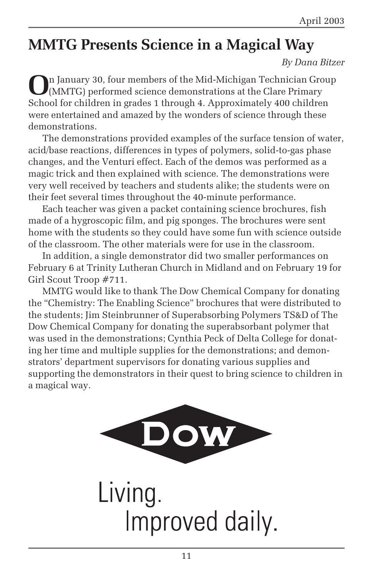## **MMTG Presents Science in a Magical Way**

#### *By Dana Bitzer*

**O**n January 30, four members of the Mid-Michigan Technician Group (MMTG) performed science demonstrations at the Clare Primary School for children in grades 1 through 4. Approximately 400 children were entertained and amazed by the wonders of science through these demonstrations.

The demonstrations provided examples of the surface tension of water, acid/base reactions, differences in types of polymers, solid-to-gas phase changes, and the Venturi effect. Each of the demos was performed as a magic trick and then explained with science. The demonstrations were very well received by teachers and students alike; the students were on their feet several times throughout the 40-minute performance.

Each teacher was given a packet containing science brochures, fish made of a hygroscopic film, and pig sponges. The brochures were sent home with the students so they could have some fun with science outside of the classroom. The other materials were for use in the classroom.

In addition, a single demonstrator did two smaller performances on February 6 at Trinity Lutheran Church in Midland and on February 19 for Girl Scout Troop #711.

MMTG would like to thank The Dow Chemical Company for donating the "Chemistry: The Enabling Science" brochures that were distributed to the students; Jim Steinbrunner of Superabsorbing Polymers TS&D of The Dow Chemical Company for donating the superabsorbant polymer that was used in the demonstrations; Cynthia Peck of Delta College for donating her time and multiple supplies for the demonstrations; and demonstrators' department supervisors for donating various supplies and supporting the demonstrators in their quest to bring science to children in a magical way.



Living. Improved daily.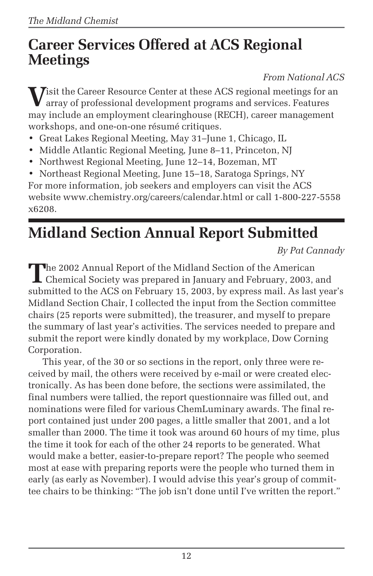## **Career Services Offered at ACS Regional Meetings**

*From National ACS*

**V**isit the Career Resource Center at these ACS regional meetings for an array of professional development programs and services. Features may include an employment clearinghouse (RECH), career management workshops, and one-on-one résumé critiques.

- Great Lakes Regional Meeting, May 31–June 1, Chicago, IL
- Middle Atlantic Regional Meeting*,* June 8–11, Princeton, NJ
- Northwest Regional Meeting, June 12–14, Bozeman, MT

• Northeast Regional Meeting, June 15–18, Saratoga Springs, NY For more information, job seekers and employers can visit the ACS website www.chemistry.org/careers/calendar.html or call 1-800-227-5558 x6208.

# **Midland Section Annual Report Submitted**

*By Pat Cannady*

The 2002 Annual Report of the Midland Section of the American<br>Chemical Society was prepared in January and February, 2003, and submitted to the ACS on February 15, 2003, by express mail. As last year's Midland Section Chair, I collected the input from the Section committee chairs (25 reports were submitted), the treasurer, and myself to prepare the summary of last year's activities. The services needed to prepare and submit the report were kindly donated by my workplace, Dow Corning Corporation.

This year, of the 30 or so sections in the report, only three were received by mail, the others were received by e-mail or were created electronically. As has been done before, the sections were assimilated, the final numbers were tallied, the report questionnaire was filled out, and nominations were filed for various ChemLuminary awards. The final report contained just under 200 pages, a little smaller that 2001, and a lot smaller than 2000. The time it took was around 60 hours of my time, plus the time it took for each of the other 24 reports to be generated. What would make a better, easier-to-prepare report? The people who seemed most at ease with preparing reports were the people who turned them in early (as early as November). I would advise this year's group of committee chairs to be thinking: "The job isn't done until I've written the report."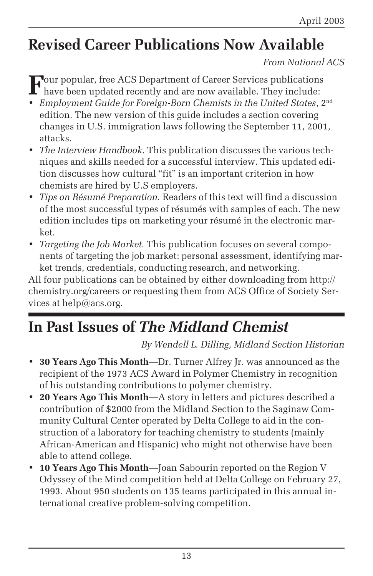## **Revised Career Publications Now Available**

### *From National ACS*

**F**our popular, free ACS Department of Career Services publications have been updated recently and are now available. They include:

- *Employment Guide for Foreign-Born Chemists in the United States*, 2nd edition. The new version of this guide includes a section covering changes in U.S. immigration laws following the September 11, 2001, attacks.
- *The Interview Handbook*. This publication discusses the various techniques and skills needed for a successful interview. This updated edition discusses how cultural "fit" is an important criterion in how chemists are hired by U.S employers.
- *Tips on Résumé Preparation.* Readers of this text will find a discussion of the most successful types of résumés with samples of each. The new edition includes tips on marketing your résumé in the electronic market.
- *Targeting the Job Market.* This publication focuses on several components of targeting the job market: personal assessment, identifying market trends, credentials, conducting research, and networking.

All four publications can be obtained by either downloading from http:// chemistry.org/careers or requesting them from ACS Office of Society Services at help@acs.org.

## **In Past Issues of** *The Midland Chemist*

*By Wendell L. Dilling, Midland Section Historian*

- **30 Years Ago This Month**—Dr. Turner Alfrey Jr. was announced as the recipient of the 1973 ACS Award in Polymer Chemistry in recognition of his outstanding contributions to polymer chemistry.
- **20 Years Ago This Month**—A story in letters and pictures described a contribution of \$2000 from the Midland Section to the Saginaw Community Cultural Center operated by Delta College to aid in the construction of a laboratory for teaching chemistry to students (mainly African-American and Hispanic) who might not otherwise have been able to attend college.
- **10 Years Ago This Month**—Joan Sabourin reported on the Region V Odyssey of the Mind competition held at Delta College on February 27, 1993. About 950 students on 135 teams participated in this annual international creative problem-solving competition.